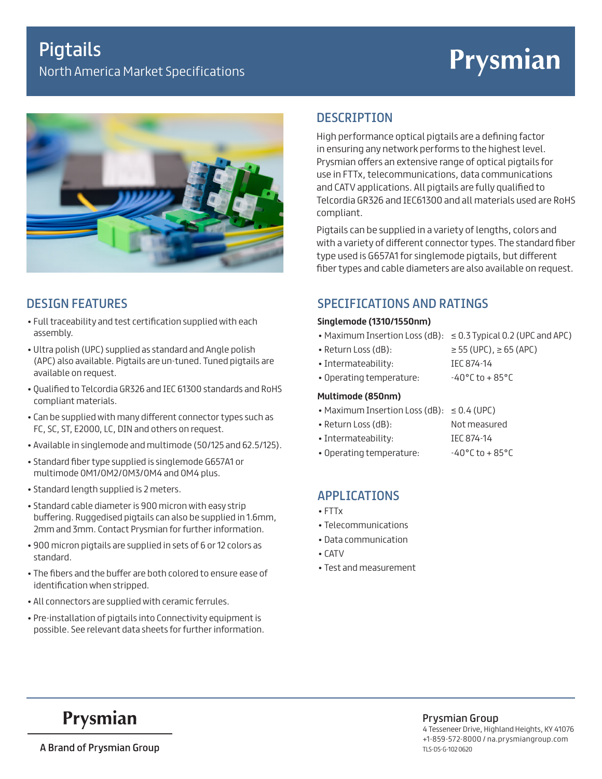# Prysmian



### DESIGN FEATURES

- Full traceability and test certification supplied with each assembly.
- Ultra polish (UPC) supplied as standard and Angle polish (APC) also available. Pigtails are un-tuned. Tuned pigtails are available on request.
- Qualified to Telcordia GR326 and IEC 61300 standards and RoHS compliant materials.
- Can be supplied with many different connector types such as FC, SC, ST, E2000, LC, DIN and others on request.
- Available in singlemode and multimode (50/125 and 62.5/125).
- Standard fiber type supplied is singlemode G657A1 or multimode OM1/OM2/OM3/OM4 and OM4 plus.
- Standard length supplied is 2 meters.
- Standard cable diameter is 900 micron with easy strip buffering. Ruggedised pigtails can also be supplied in 1.6mm, 2mm and 3mm. Contact Prysmian for further information.
- 900 micron pigtails are supplied in sets of 6 or 12 colors as standard.
- The fibers and the buffer are both colored to ensure ease of identification when stripped.
- All connectors are supplied with ceramic ferrules.
- Pre-installation of pigtails into Connectivity equipment is possible. See relevant data sheets for further information.

### **DESCRIPTION**

High performance optical pigtails are a defining factor in ensuring any network performs to the highest level. Prysmian offers an extensive range of optical pigtails for use in FTTx, telecommunications, data communications and CATV applications. All pigtails are fully qualified to Telcordia GR326 and IEC61300 and all materials used are RoHS compliant.

Pigtails can be supplied in a variety of lengths, colors and with a variety of different connector types. The standard fiber type used is G657A1 for singlemode pigtails, but different fiber types and cable diameters are also available on request.

### SPECIFICATIONS AND RATINGS

### **Singlemode (1310/1550nm)**

- Maximum Insertion Loss (dB): ≤ 0.3 Typical 0.2 (UPC and APC)
- Return Loss (dB):  $\ge$  55 (UPC),  $\ge$  65 (APC)
- Intermateability: IEC 874-14
- Operating temperature: 40°C to + 85°C

### **Multimode (850nm)**

- Maximum Insertion Loss (dB): ≤ 0.4 (UPC)
- Return Loss (dB): Not measured
- Intermateability: IEC 874-14
- Operating temperature: 40°C to + 85°C

### APPLICATIONS

- FTTx
- Telecommunications
- Data communication
- CATV
- Test and measurement

## Prysmian

A Brand of Prysmian Group

Prysmian Group 4 Tesseneer Drive, Highland Heights, KY 41076 +1-859-572-8000 / na.prysmiangroup.com TLS-DS-G-102 0620